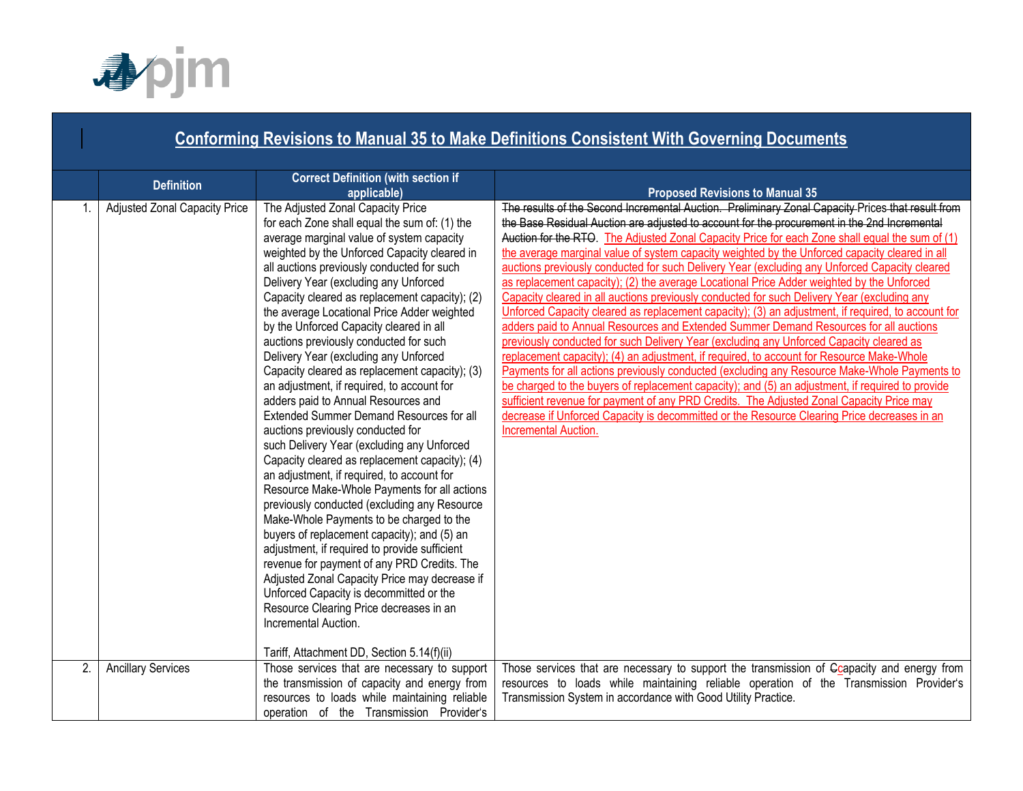

#### **Conforming Revisions to Manual 35 to Make Definitions Consistent With Governing Documents Definition Correct Definition (with section if applicable) Proposed Revisions to Manual 35** 1. | Adjusted Zonal Capacity Price | The Adjusted Zonal Capacity Price for each Zone shall equal the sum of: (1) the average marginal value of system capacity weighted by the Unforced Capacity cleared in all auctions previously conducted for such Delivery Year (excluding any Unforced Capacity cleared as replacement capacity); (2) the average Locational Price Adder weighted by the Unforced Capacity cleared in all auctions previously conducted for such Delivery Year (excluding any Unforced Capacity cleared as replacement capacity); (3) an adjustment, if required, to account for adders paid to Annual Resources and Extended Summer Demand Resources for all auctions previously conducted for such Delivery Year (excluding any Unforced Capacity cleared as replacement capacity); (4) an adjustment, if required, to account for Resource Make-Whole Payments for all actions previously conducted (excluding any Resource Make-Whole Payments to be charged to the buyers of replacement capacity); and (5) an adjustment, if required to provide sufficient revenue for payment of any PRD Credits. The Adjusted Zonal Capacity Price may decrease if Unforced Capacity is decommitted or the Resource Clearing Price decreases in an Incremental Auction. Tariff, Attachment DD, Section 5.14(f)(ii) The results of the Second Incremental Auction. Preliminary Zonal Capacity Prices that result from the Base Residual Auction are adjusted to account for the procurement in the 2nd Incremental Auction for the RTO. The Adjusted Zonal Capacity Price for each Zone shall equal the sum of (1) the average marginal value of system capacity weighted by the Unforced capacity cleared in all auctions previously conducted for such Delivery Year (excluding any Unforced Capacity cleared as replacement capacity); (2) the average Locational Price Adder weighted by the Unforced Capacity cleared in all auctions previously conducted for such Delivery Year (excluding any Unforced Capacity cleared as replacement capacity); (3) an adjustment, if required, to account for adders paid to Annual Resources and Extended Summer Demand Resources for all auctions previously conducted for such Delivery Year (excluding any Unforced Capacity cleared as replacement capacity); (4) an adjustment, if required, to account for Resource Make-Whole Payments for all actions previously conducted (excluding any Resource Make-Whole Payments to be charged to the buyers of replacement capacity); and (5) an adjustment, if required to provide sufficient revenue for payment of any PRD Credits. The Adjusted Zonal Capacity Price may decrease if Unforced Capacity is decommitted or the Resource Clearing Price decreases in an Incremental Auction. 2. Ancillary Services Those services that are necessary to support the transmission of capacity and energy from resources to loads while maintaining reliable operation of the Transmission Provider's Those services that are necessary to support the transmission of Gcapacity and energy from resources to loads while maintaining reliable operation of the Transmission Provider's Transmission System in accordance with Good Utility Practice.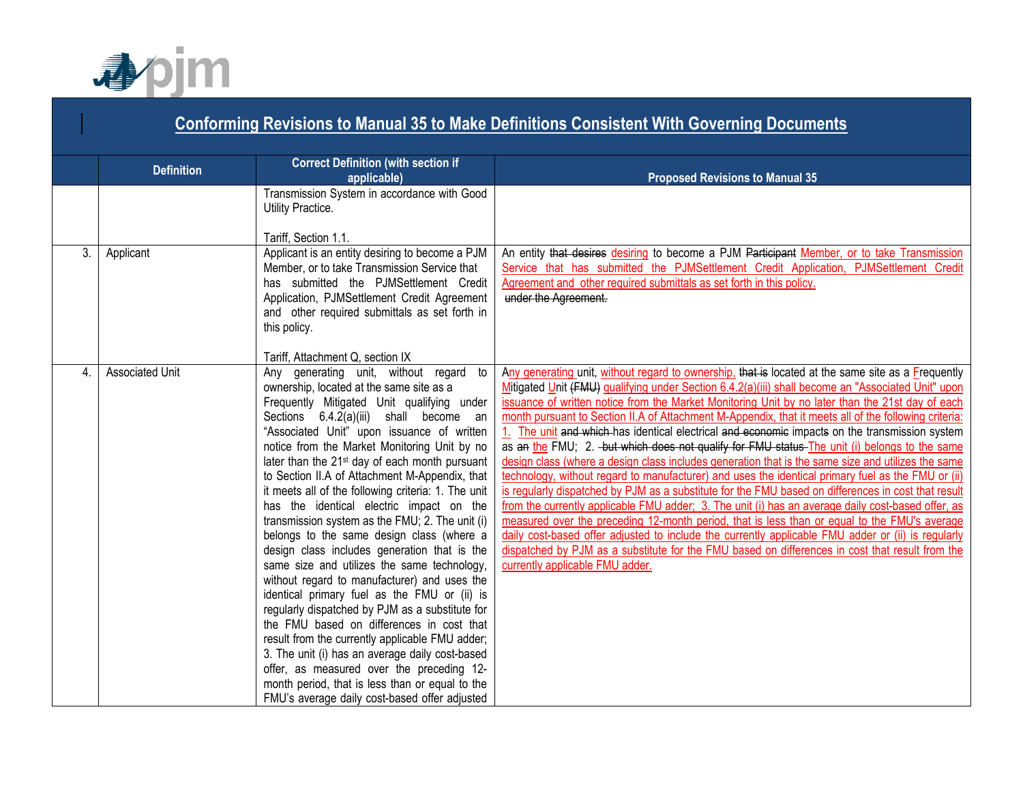

#### **Conforming Revisions to Manual 35 to Make Definitions Consistent With Governing Documents Definition Correct Definition (with section if applicable) Proposed Revisions to Manual 35** Transmission System in accordance with Good Utility Practice. Tariff, Section 1.1. 3. Applicant Applicant Applicant is an entity desiring to become a PJM Member, or to take Transmission Service that has submitted the PJMSettlement Credit Application, PJMSettlement Credit Agreement and other required submittals as set forth in this policy. Tariff, Attachment Q, section IX An entity that desires desiring to become a PJM Participant Member, or to take Transmission Service that has submitted the PJMSettlement Credit Application, PJMSettlement Credit Agreement and other required submittals as set forth in this policy. under the Agreement. 4. Associated Unit Any generating unit, without regard to ownership, located at the same site as a Frequently Mitigated Unit qualifying under Sections 6.4.2(a)(iii) shall become an "Associated Unit" upon issuance of written notice from the Market Monitoring Unit by no later than the 21<sup>st</sup> day of each month pursuant to Section II.A of Attachment M-Appendix, that it meets all of the following criteria: 1. The unit has the identical electric impact on the transmission system as the FMU; 2. The unit (i) belongs to the same design class (where a design class includes generation that is the same size and utilizes the same technology, without regard to manufacturer) and uses the identical primary fuel as the FMU or (ii) is regularly dispatched by PJM as a substitute for the FMU based on differences in cost that result from the currently applicable FMU adder; 3. The unit (i) has an average daily cost-based offer, as measured over the preceding 12 month period, that is less than or equal to the FMU's average daily cost-based offer adjusted Any generating unit, without regard to ownership, that is located at the same site as a Frequently Mitigated Unit (FMU) qualifying under Section 6.4.2(a)(iii) shall become an "Associated Unit" upon issuance of written notice from the Market Monitoring Unit by no later than the 21st day of each month pursuant to Section II.A of Attachment M-Appendix, that it meets all of the following criteria: 1. The unit and which has identical electrical and economic impacts on the transmission system as an the FMU; 2. but which does not qualify for FMU status The unit (i) belongs to the same design class (where a design class includes generation that is the same size and utilizes the same technology, without regard to manufacturer) and uses the identical primary fuel as the FMU or (ii) is regularly dispatched by PJM as a substitute for the FMU based on differences in cost that result from the currently applicable FMU adder; 3. The unit (i) has an average daily cost-based offer, as measured over the preceding 12-month period, that is less than or equal to the FMU's average daily cost-based offer adjusted to include the currently applicable FMU adder or (ii) is regularly dispatched by PJM as a substitute for the FMU based on differences in cost that result from the currently applicable FMU adder.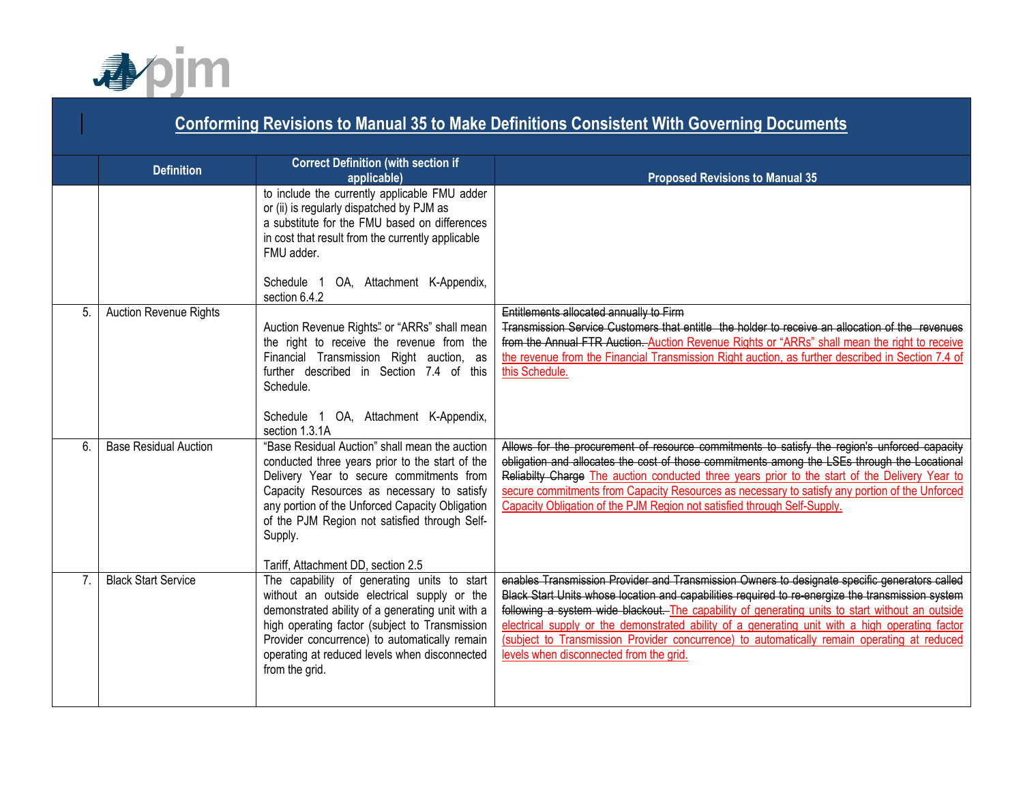

|                | <b>Conforming Revisions to Manual 35 to Make Definitions Consistent With Governing Documents</b> |                                                                                                                                                                                                                                                                          |                                                                                                                                                                                                                                                                                                                                                                                                                                                    |  |  |
|----------------|--------------------------------------------------------------------------------------------------|--------------------------------------------------------------------------------------------------------------------------------------------------------------------------------------------------------------------------------------------------------------------------|----------------------------------------------------------------------------------------------------------------------------------------------------------------------------------------------------------------------------------------------------------------------------------------------------------------------------------------------------------------------------------------------------------------------------------------------------|--|--|
|                | <b>Definition</b>                                                                                | <b>Correct Definition (with section if</b><br>applicable)                                                                                                                                                                                                                | <b>Proposed Revisions to Manual 35</b>                                                                                                                                                                                                                                                                                                                                                                                                             |  |  |
|                |                                                                                                  | to include the currently applicable FMU adder<br>or (ii) is regularly dispatched by PJM as<br>a substitute for the FMU based on differences<br>in cost that result from the currently applicable<br>FMU adder.<br>Schedule 1 OA, Attachment K-Appendix,<br>section 6.4.2 |                                                                                                                                                                                                                                                                                                                                                                                                                                                    |  |  |
| 5.             | Auction Revenue Rights                                                                           | Auction Revenue Rights" or "ARRs" shall mean<br>the right to receive the revenue from the<br>Financial Transmission Right auction, as<br>further described in Section 7.4 of this<br>Schedule.                                                                           | Entitlements allocated annually to Firm<br>Transmission Service Customers that entitle the holder to receive an allocation of the revenues<br>from the Annual FTR Auction. Auction Revenue Rights or "ARRs" shall mean the right to receive<br>the revenue from the Financial Transmission Right auction, as further described in Section 7.4 of<br>this Schedule.                                                                                 |  |  |
| 6.             | <b>Base Residual Auction</b>                                                                     | Schedule 1 OA, Attachment K-Appendix,<br>section 1.3.1A<br>"Base Residual Auction" shall mean the auction                                                                                                                                                                | Allows for the procurement of resource commitments to satisfy the region's unforced capacity                                                                                                                                                                                                                                                                                                                                                       |  |  |
|                |                                                                                                  | conducted three years prior to the start of the<br>Delivery Year to secure commitments from<br>Capacity Resources as necessary to satisfy<br>any portion of the Unforced Capacity Obligation<br>of the PJM Region not satisfied through Self-<br>Supply.                 | obligation and allocates the cost of those commitments among the LSEs through the Locational<br>Reliabilty Charge The auction conducted three years prior to the start of the Delivery Year to<br>secure commitments from Capacity Resources as necessary to satisfy any portion of the Unforced<br>Capacity Obligation of the PJM Region not satisfied through Self-Supply.                                                                       |  |  |
| 7 <sub>1</sub> | <b>Black Start Service</b>                                                                       | Tariff, Attachment DD, section 2.5<br>The capability of generating units to start                                                                                                                                                                                        | enables Transmission Provider and Transmission Owners to designate specific generators called                                                                                                                                                                                                                                                                                                                                                      |  |  |
|                |                                                                                                  | without an outside electrical supply or the<br>demonstrated ability of a generating unit with a<br>high operating factor (subject to Transmission<br>Provider concurrence) to automatically remain<br>operating at reduced levels when disconnected<br>from the grid.    | Black Start Units whose location and capabilities required to re energize the transmission system<br>following a system wide blackout. The capability of generating units to start without an outside<br>electrical supply or the demonstrated ability of a generating unit with a high operating factor<br>(subject to Transmission Provider concurrence) to automatically remain operating at reduced<br>levels when disconnected from the grid. |  |  |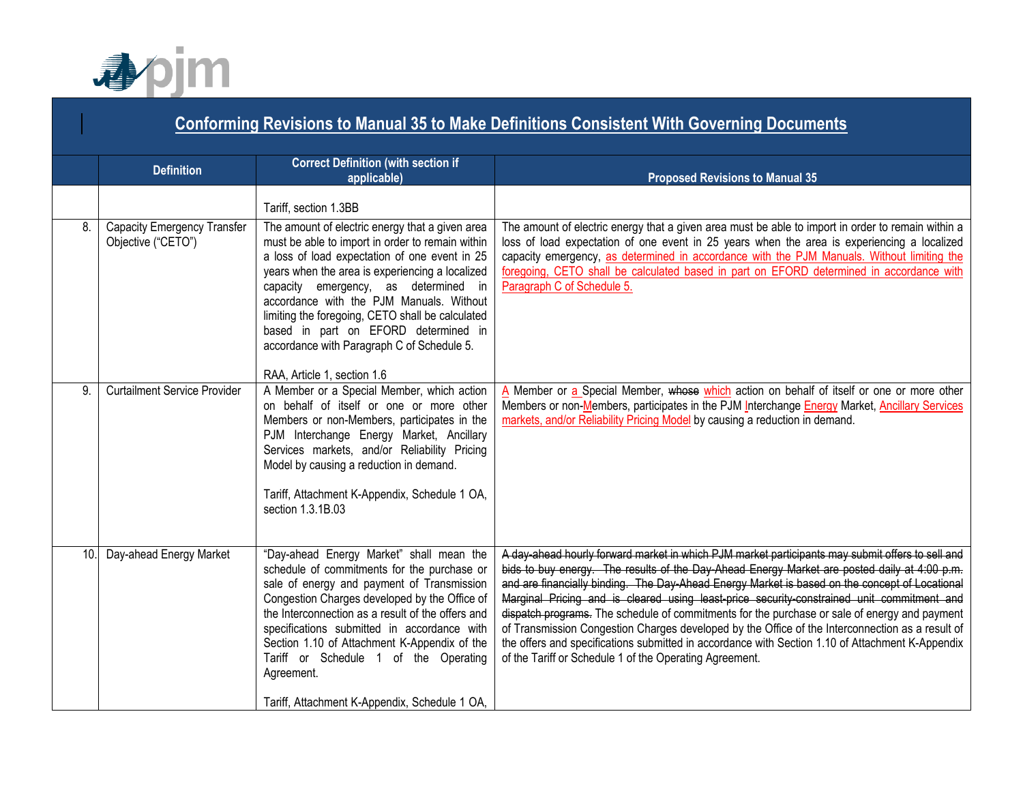

### **Conforming Revisions to Manual 35 to Make Definitions Consistent With Governing Documents Definition Correct Definition (with section if applicable) applicable) Proposed Revisions to Manual 35** Tariff, section 1.3BB 8. Capacity Emergency Transfer Objective ("CETO") The amount of electric energy that a given area must be able to import in order to remain within a loss of load expectation of one event in 25 years when the area is experiencing a localized capacity emergency, as determined in accordance with the PJM Manuals. Without limiting the foregoing, CETO shall be calculated based in part on EFORD determined in accordance with Paragraph C of Schedule 5. RAA, Article 1, section 1.6 The amount of electric energy that a given area must be able to import in order to remain within a loss of load expectation of one event in 25 years when the area is experiencing a localized capacity emergency, as determined in accordance with the PJM Manuals. Without limiting the foregoing, CETO shall be calculated based in part on EFORD determined in accordance with Paragraph C of Schedule 5. 9. Curtailment Service Provider A Member or a Special Member, which action on behalf of itself or one or more other Members or non-Members, participates in the PJM Interchange Energy Market, Ancillary Services markets, and/or Reliability Pricing Model by causing a reduction in demand. Tariff, Attachment K-Appendix, Schedule 1 OA, section 1.3.1B.03 A Member or a Special Member, whose which action on behalf of itself or one or more other Members or non-Members, participates in the PJM Interchange **Energy Market**, Ancillary Services markets, and/or Reliability Pricing Model by causing a reduction in demand. 10. Day-ahead Energy Market | "Day-ahead Energy Market" shall mean the schedule of commitments for the purchase or sale of energy and payment of Transmission Congestion Charges developed by the Office of the Interconnection as a result of the offers and specifications submitted in accordance with Section 1.10 of Attachment K-Appendix of the Tariff or Schedule 1 of the Operating Agreement. Tariff, Attachment K-Appendix, Schedule 1 OA, A day-ahead hourly forward market in which PJM market participants may submit offers to sell and bids to buy energy. The results of the Day-Ahead Energy Market are posted daily at 4:00 p.m. and are financially binding. The Day-Ahead Energy Market is based on the concept of Locational Marginal Pricing and is cleared using least-price security-constrained unit commitment and dispatch programs. The schedule of commitments for the purchase or sale of energy and payment of Transmission Congestion Charges developed by the Office of the Interconnection as a result of the offers and specifications submitted in accordance with Section 1.10 of Attachment K-Appendix of the Tariff or Schedule 1 of the Operating Agreement.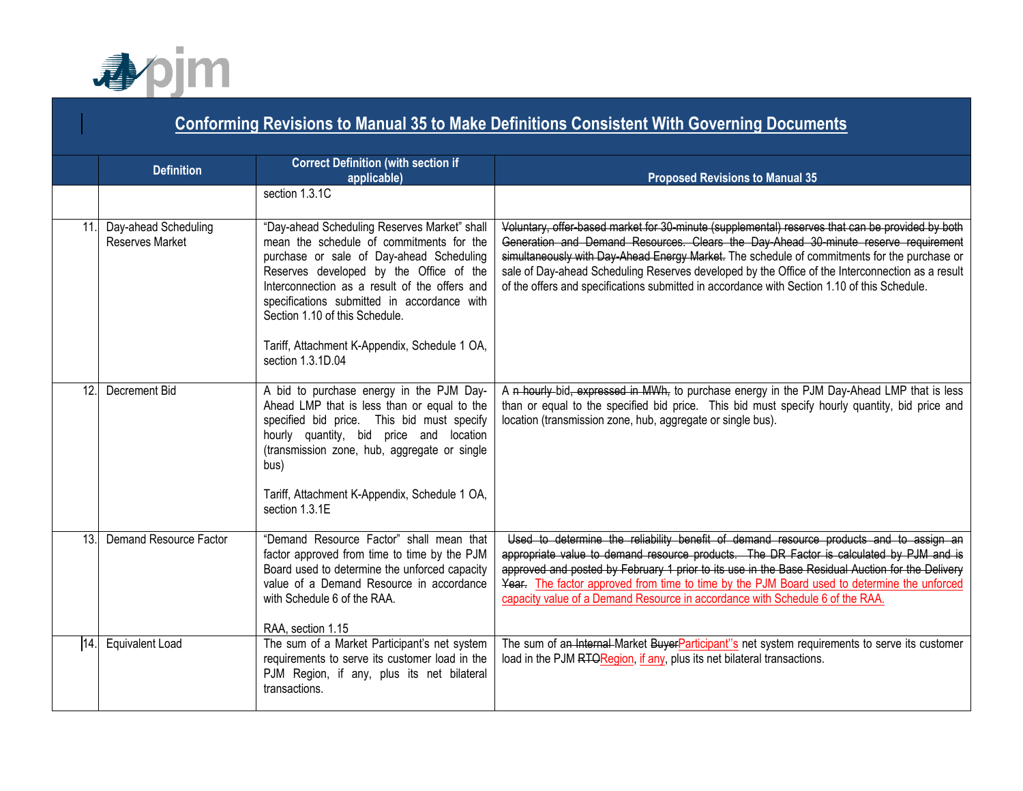

|     | <b>Conforming Revisions to Manual 35 to Make Definitions Consistent With Governing Documents</b> |                                                                                                                                                                                                                                                                                                                                                                                         |                                                                                                                                                                                                                                                                                                                                                                                                                                                                                             |  |
|-----|--------------------------------------------------------------------------------------------------|-----------------------------------------------------------------------------------------------------------------------------------------------------------------------------------------------------------------------------------------------------------------------------------------------------------------------------------------------------------------------------------------|---------------------------------------------------------------------------------------------------------------------------------------------------------------------------------------------------------------------------------------------------------------------------------------------------------------------------------------------------------------------------------------------------------------------------------------------------------------------------------------------|--|
|     | <b>Definition</b>                                                                                | <b>Correct Definition (with section if</b><br>applicable)                                                                                                                                                                                                                                                                                                                               | <b>Proposed Revisions to Manual 35</b>                                                                                                                                                                                                                                                                                                                                                                                                                                                      |  |
|     |                                                                                                  | section 1.3.1C                                                                                                                                                                                                                                                                                                                                                                          |                                                                                                                                                                                                                                                                                                                                                                                                                                                                                             |  |
| 11. | Day-ahead Scheduling<br><b>Reserves Market</b>                                                   | "Day-ahead Scheduling Reserves Market" shall<br>mean the schedule of commitments for the<br>purchase or sale of Day-ahead Scheduling<br>Reserves developed by the Office of the<br>Interconnection as a result of the offers and<br>specifications submitted in accordance with<br>Section 1.10 of this Schedule.<br>Tariff, Attachment K-Appendix, Schedule 1 OA,<br>section 1.3.1D.04 | Voluntary, offer-based market for 30-minute (supplemental) reserves that can be provided by both<br>Generation and Demand Resources. Clears the Day Ahead 30 minute reserve requirement<br>simultaneously with Day-Ahead Energy Market. The schedule of commitments for the purchase or<br>sale of Day-ahead Scheduling Reserves developed by the Office of the Interconnection as a result<br>of the offers and specifications submitted in accordance with Section 1.10 of this Schedule. |  |
| 12. | Decrement Bid                                                                                    | A bid to purchase energy in the PJM Day-<br>Ahead LMP that is less than or equal to the<br>specified bid price. This bid must specify<br>hourly quantity, bid price and location<br>(transmission zone, hub, aggregate or single<br>bus)<br>Tariff, Attachment K-Appendix, Schedule 1 OA,<br>section 1.3.1E                                                                             | A n hourly-bid, expressed in MWh, to purchase energy in the PJM Day-Ahead LMP that is less<br>than or equal to the specified bid price. This bid must specify hourly quantity, bid price and<br>location (transmission zone, hub, aggregate or single bus).                                                                                                                                                                                                                                 |  |
| 13. | Demand Resource Factor                                                                           | "Demand Resource Factor" shall mean that<br>factor approved from time to time by the PJM<br>Board used to determine the unforced capacity<br>value of a Demand Resource in accordance<br>with Schedule 6 of the RAA.<br>RAA, section 1.15                                                                                                                                               | Used to determine the reliability benefit of demand resource products and to assign an<br>appropriate value to demand resource products. The DR Factor is calculated by PJM and is<br>approved and posted by February 1 prior to its use in the Base Residual Auction for the Delivery<br>Year. The factor approved from time to time by the PJM Board used to determine the unforced<br>capacity value of a Demand Resource in accordance with Schedule 6 of the RAA.                      |  |
| 14. | <b>Equivalent Load</b>                                                                           | The sum of a Market Participant's net system<br>requirements to serve its customer load in the<br>PJM Region, if any, plus its net bilateral<br>transactions.                                                                                                                                                                                                                           | The sum of an Internal Market BuyerParticipant"s net system requirements to serve its customer<br>load in the PJM RTORegion, if any, plus its net bilateral transactions.                                                                                                                                                                                                                                                                                                                   |  |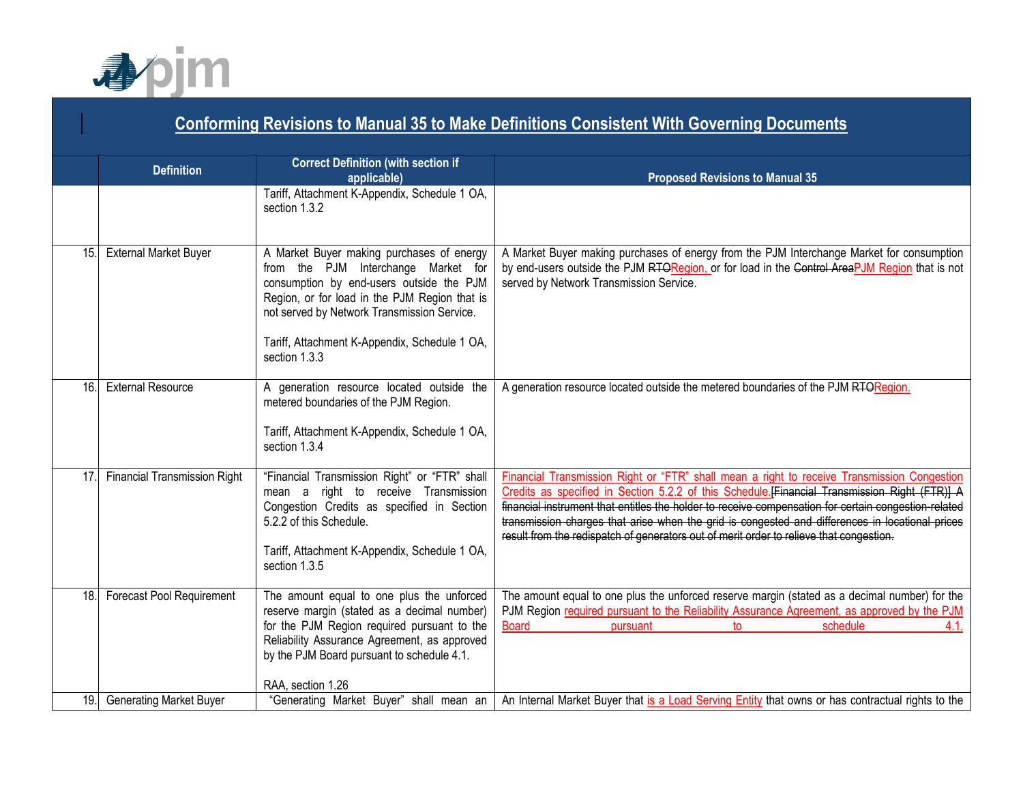

|     | <b>Conforming Revisions to Manual 35 to Make Definitions Consistent With Governing Documents</b> |                                                                                                                                                                                                                                                                                                |                                                                                                                                                                                                                                                                                                                                                                                                                                                                                                    |  |
|-----|--------------------------------------------------------------------------------------------------|------------------------------------------------------------------------------------------------------------------------------------------------------------------------------------------------------------------------------------------------------------------------------------------------|----------------------------------------------------------------------------------------------------------------------------------------------------------------------------------------------------------------------------------------------------------------------------------------------------------------------------------------------------------------------------------------------------------------------------------------------------------------------------------------------------|--|
|     | <b>Definition</b>                                                                                | <b>Correct Definition (with section if</b><br>applicable)                                                                                                                                                                                                                                      | <b>Proposed Revisions to Manual 35</b>                                                                                                                                                                                                                                                                                                                                                                                                                                                             |  |
|     |                                                                                                  | Tariff, Attachment K-Appendix, Schedule 1 OA,<br>section 1.3.2                                                                                                                                                                                                                                 |                                                                                                                                                                                                                                                                                                                                                                                                                                                                                                    |  |
| 15. | <b>External Market Buyer</b>                                                                     | A Market Buyer making purchases of energy<br>from the PJM Interchange Market for<br>consumption by end-users outside the PJM<br>Region, or for load in the PJM Region that is<br>not served by Network Transmission Service.<br>Tariff, Attachment K-Appendix, Schedule 1 OA,<br>section 1.3.3 | A Market Buyer making purchases of energy from the PJM Interchange Market for consumption<br>by end-users outside the PJM RTORegion, or for load in the Control AreaPJM Region that is not<br>served by Network Transmission Service.                                                                                                                                                                                                                                                              |  |
| 16. | <b>External Resource</b>                                                                         | A generation resource located outside the<br>metered boundaries of the PJM Region.<br>Tariff, Attachment K-Appendix, Schedule 1 OA,<br>section 1.3.4                                                                                                                                           | A generation resource located outside the metered boundaries of the PJM RTORegion.                                                                                                                                                                                                                                                                                                                                                                                                                 |  |
| 17. | Financial Transmission Right                                                                     | "Financial Transmission Right" or "FTR" shall<br>mean a right to receive Transmission<br>Congestion Credits as specified in Section<br>5.2.2 of this Schedule.<br>Tariff, Attachment K-Appendix, Schedule 1 OA,<br>section 1.3.5                                                               | Financial Transmission Right or "FTR" shall mean a right to receive Transmission Congestion<br>Credits as specified in Section 5.2.2 of this Schedule.[Financial Transmission Right (FTR)] A<br>financial instrument that entitles the holder to receive compensation for certain congestion-related<br>transmission charges that arise when the grid is congested and differences in locational prices<br>result from the redispatch of generators out of merit order to relieve that congestion. |  |
| 18. | Forecast Pool Requirement                                                                        | The amount equal to one plus the unforced<br>reserve margin (stated as a decimal number)<br>for the PJM Region required pursuant to the<br>Reliability Assurance Agreement, as approved<br>by the PJM Board pursuant to schedule 4.1.<br>RAA, section 1.26                                     | The amount equal to one plus the unforced reserve margin (stated as a decimal number) for the<br>PJM Region required pursuant to the Reliability Assurance Agreement, as approved by the PJM<br><b>Board</b><br>schedule<br>4.1.<br>pursuant<br>to                                                                                                                                                                                                                                                 |  |
| 19. | <b>Generating Market Buyer</b>                                                                   | "Generating Market Buyer" shall mean an                                                                                                                                                                                                                                                        | An Internal Market Buyer that is a Load Serving Entity that owns or has contractual rights to the                                                                                                                                                                                                                                                                                                                                                                                                  |  |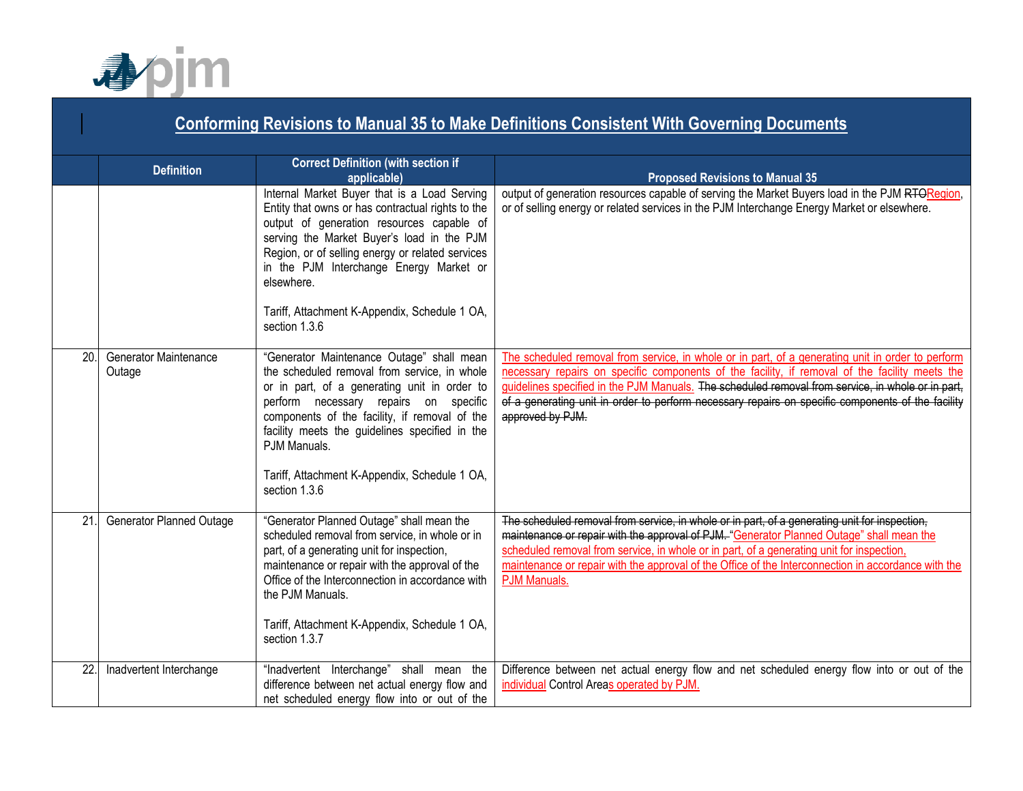

|     | <b>Conforming Revisions to Manual 35 to Make Definitions Consistent With Governing Documents</b> |                                                                                                                                                                                                                                                                                                                                                                         |                                                                                                                                                                                                                                                                                                                                                                                                                                   |  |  |
|-----|--------------------------------------------------------------------------------------------------|-------------------------------------------------------------------------------------------------------------------------------------------------------------------------------------------------------------------------------------------------------------------------------------------------------------------------------------------------------------------------|-----------------------------------------------------------------------------------------------------------------------------------------------------------------------------------------------------------------------------------------------------------------------------------------------------------------------------------------------------------------------------------------------------------------------------------|--|--|
|     | <b>Definition</b>                                                                                | <b>Correct Definition (with section if</b><br>applicable)                                                                                                                                                                                                                                                                                                               | <b>Proposed Revisions to Manual 35</b>                                                                                                                                                                                                                                                                                                                                                                                            |  |  |
|     |                                                                                                  | Internal Market Buyer that is a Load Serving<br>Entity that owns or has contractual rights to the<br>output of generation resources capable of<br>serving the Market Buyer's load in the PJM<br>Region, or of selling energy or related services<br>in the PJM Interchange Energy Market or<br>elsewhere.                                                               | output of generation resources capable of serving the Market Buyers load in the PJM RTORegion,<br>or of selling energy or related services in the PJM Interchange Energy Market or elsewhere.                                                                                                                                                                                                                                     |  |  |
|     |                                                                                                  | Tariff, Attachment K-Appendix, Schedule 1 OA,<br>section 1.3.6                                                                                                                                                                                                                                                                                                          |                                                                                                                                                                                                                                                                                                                                                                                                                                   |  |  |
| 20. | <b>Generator Maintenance</b><br>Outage                                                           | "Generator Maintenance Outage" shall mean<br>the scheduled removal from service, in whole<br>or in part, of a generating unit in order to<br>perform necessary repairs on specific<br>components of the facility, if removal of the<br>facility meets the guidelines specified in the<br>PJM Manuals.<br>Tariff, Attachment K-Appendix, Schedule 1 OA,<br>section 1.3.6 | The scheduled removal from service, in whole or in part, of a generating unit in order to perform<br>necessary repairs on specific components of the facility, if removal of the facility meets the<br>guidelines specified in the PJM Manuals. The scheduled removal from service, in whole or in part,<br>of a generating unit in order to perform necessary repairs on specific components of the facility<br>approved by PJM. |  |  |
| 21. | <b>Generator Planned Outage</b>                                                                  | "Generator Planned Outage" shall mean the<br>scheduled removal from service, in whole or in<br>part, of a generating unit for inspection,<br>maintenance or repair with the approval of the<br>Office of the Interconnection in accordance with<br>the PJM Manuals.<br>Tariff, Attachment K-Appendix, Schedule 1 OA,<br>section 1.3.7                                   | The scheduled removal from service, in whole or in part, of a generating unit for inspection,<br>maintenance or repair with the approval of PJM. "Generator Planned Outage" shall mean the<br>scheduled removal from service, in whole or in part, of a generating unit for inspection,<br>maintenance or repair with the approval of the Office of the Interconnection in accordance with the<br><b>PJM Manuals.</b>             |  |  |
| 22. | Inadvertent Interchange                                                                          | "Inadvertent Interchange" shall mean the<br>difference between net actual energy flow and<br>net scheduled energy flow into or out of the                                                                                                                                                                                                                               | Difference between net actual energy flow and net scheduled energy flow into or out of the<br>individual Control Areas operated by PJM.                                                                                                                                                                                                                                                                                           |  |  |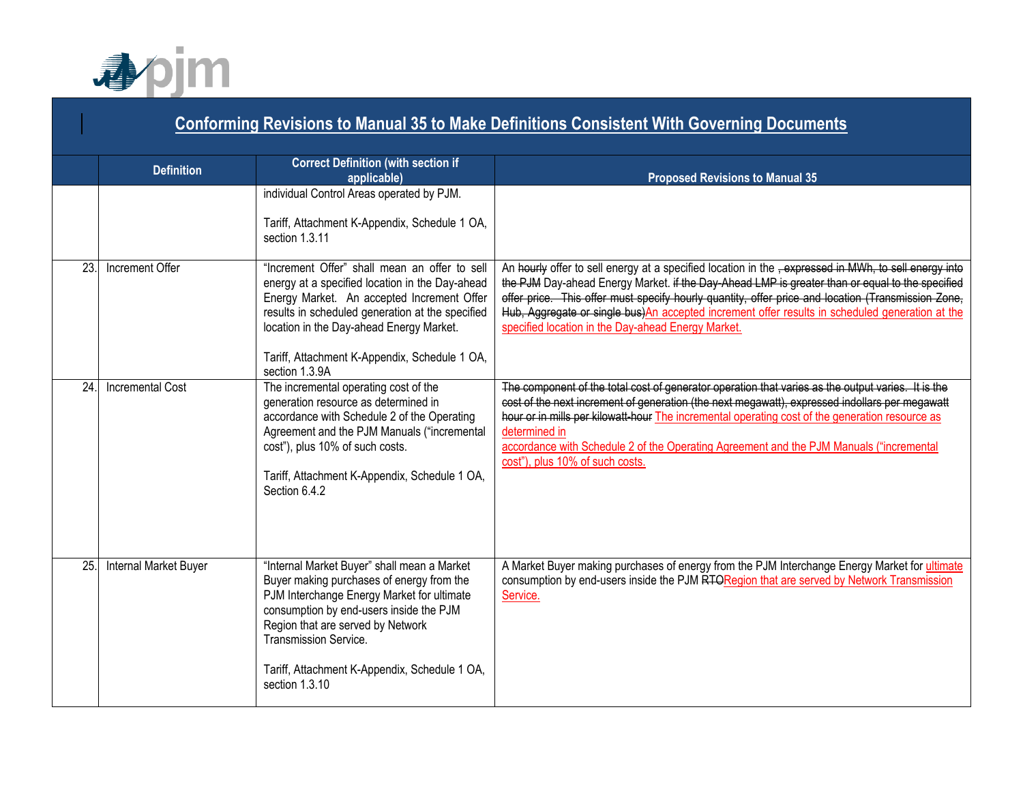

|     | <b>Conforming Revisions to Manual 35 to Make Definitions Consistent With Governing Documents</b> |                                                                                                                                                                                                                                                                                                                           |                                                                                                                                                                                                                                                                                                                                                                                                                                                                                     |  |
|-----|--------------------------------------------------------------------------------------------------|---------------------------------------------------------------------------------------------------------------------------------------------------------------------------------------------------------------------------------------------------------------------------------------------------------------------------|-------------------------------------------------------------------------------------------------------------------------------------------------------------------------------------------------------------------------------------------------------------------------------------------------------------------------------------------------------------------------------------------------------------------------------------------------------------------------------------|--|
|     | <b>Definition</b>                                                                                | <b>Correct Definition (with section if</b><br>applicable)                                                                                                                                                                                                                                                                 | <b>Proposed Revisions to Manual 35</b>                                                                                                                                                                                                                                                                                                                                                                                                                                              |  |
|     |                                                                                                  | individual Control Areas operated by PJM.<br>Tariff, Attachment K-Appendix, Schedule 1 OA,<br>section 1.3.11                                                                                                                                                                                                              |                                                                                                                                                                                                                                                                                                                                                                                                                                                                                     |  |
| 23. | Increment Offer                                                                                  | "Increment Offer" shall mean an offer to sell<br>energy at a specified location in the Day-ahead<br>Energy Market. An accepted Increment Offer<br>results in scheduled generation at the specified<br>location in the Day-ahead Energy Market.<br>Tariff, Attachment K-Appendix, Schedule 1 OA,<br>section 1.3.9A         | An hourly offer to sell energy at a specified location in the <del>, expressed in MWh, to sell energy into</del><br>the PJM Day-ahead Energy Market. if the Day-Ahead LMP is greater than or equal to the specified<br>offer price. This offer must specify hourly quantity, offer price and location (Transmission Zone,<br>Hub, Aggregate or single bus) An accepted increment offer results in scheduled generation at the<br>specified location in the Day-ahead Energy Market. |  |
| 24. | <b>Incremental Cost</b>                                                                          | The incremental operating cost of the<br>generation resource as determined in<br>accordance with Schedule 2 of the Operating<br>Agreement and the PJM Manuals ("incremental<br>cost"), plus 10% of such costs.<br>Tariff, Attachment K-Appendix, Schedule 1 OA,<br>Section 6.4.2                                          | The component of the total cost of generator operation that varies as the output varies. It is the<br>cost of the next increment of generation (the next megawatt), expressed indollars per megawatt<br>hour or in mills per kilowatt-hour The incremental operating cost of the generation resource as<br>determined in<br>accordance with Schedule 2 of the Operating Agreement and the PJM Manuals ("incremental<br>cost"), plus 10% of such costs.                              |  |
| 25. | <b>Internal Market Buyer</b>                                                                     | "Internal Market Buyer" shall mean a Market<br>Buyer making purchases of energy from the<br>PJM Interchange Energy Market for ultimate<br>consumption by end-users inside the PJM<br>Region that are served by Network<br><b>Transmission Service.</b><br>Tariff, Attachment K-Appendix, Schedule 1 OA,<br>section 1.3.10 | A Market Buyer making purchases of energy from the PJM Interchange Energy Market for ultimate<br>consumption by end-users inside the PJM RTORegion that are served by Network Transmission<br>Service.                                                                                                                                                                                                                                                                              |  |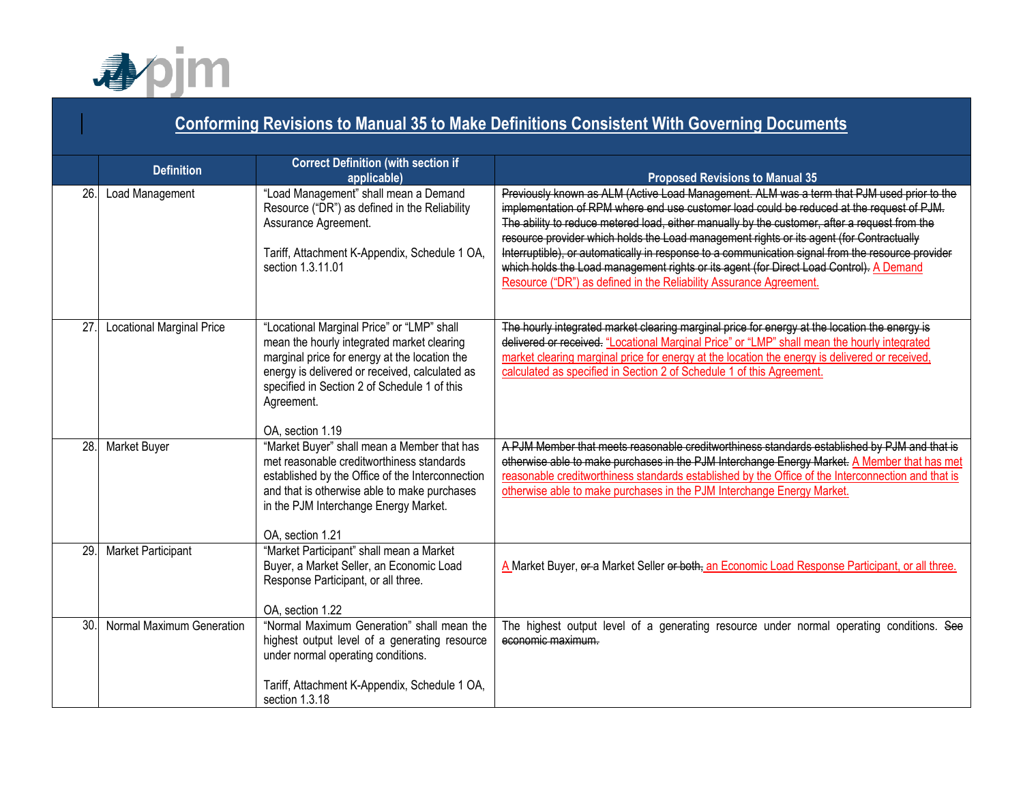

## **Conforming Revisions to Manual 35 to Make Definitions Consistent With Governing Documents Definition Correct Definition (with section if applicable) Proposed Revisions to Manual 35** 26. Load Management **1.1.** "Load Management" shall mean a Demand Resource ("DR") as defined in the Reliability Assurance Agreement. Tariff, Attachment K-Appendix, Schedule 1 OA, section 1.3.11.01 Previously known as ALM (Active Load Management. ALM was a term that PJM used prior to the implementation of RPM where end use customer load could be reduced at the request of PJM. The ability to reduce metered load, either manually by the customer, after a request from the resource provider which holds the Load management rights or its agent (for Contractually Interruptible), or automatically in response to a communication signal from the resource provider which holds the Load management rights or its agent (for Direct Load Control). A Demand Resource ("DR") as defined in the Reliability Assurance Agreement. 27. Locational Marginal Price | "Locational Marginal Price" or "LMP" shall mean the hourly integrated market clearing marginal price for energy at the location the energy is delivered or received, calculated as specified in Section 2 of Schedule 1 of this Agreement. OA, section 1.19 The hourly integrated market clearing marginal price for energy at the location the energy is delivered or received. "Locational Marginal Price" or "LMP" shall mean the hourly integrated market clearing marginal price for energy at the location the energy is delivered or received, calculated as specified in Section 2 of Schedule 1 of this Agreement. 28. Market Buyer **Warket Buyer** "Market Buyer" shall mean a Member that has met reasonable creditworthiness standards established by the Office of the Interconnection and that is otherwise able to make purchases in the PJM Interchange Energy Market. OA, section 1.21 A PJM Member that meets reasonable creditworthiness standards established by PJM and that is otherwise able to make purchases in the PJM Interchange Energy Market. A Member that has met reasonable creditworthiness standards established by the Office of the Interconnection and that is otherwise able to make purchases in the PJM Interchange Energy Market. 29. Market Participant "Market Participant" shall mean a Market Buyer, a Market Seller, an Economic Load Response Participant, or all three. OA, section 1.22 A Market Buyer,  $\theta$ -a Market Seller or both, an Economic Load Response Participant, or all three. 30. Normal Maximum Generation | "Normal Maximum Generation" shall mean the highest output level of a generating resource under normal operating conditions. Tariff, Attachment K-Appendix, Schedule 1 OA, section 1.3.18 The highest output level of a generating resource under normal operating conditions. See economic maximum.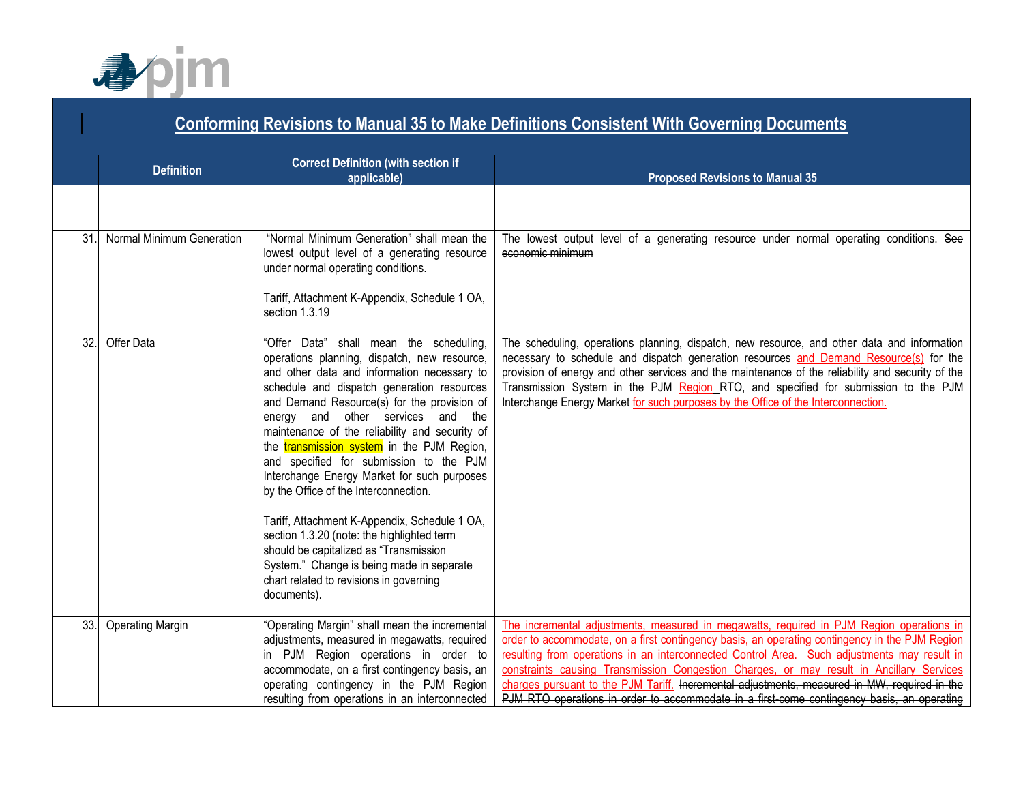

# **Conforming Revisions to Manual 35 to Make Definitions Consistent With Governing Documents Definition Correct Definition (with section if applicable) applicable) Proposed Revisions to Manual 35** 31. Normal Minimum Generation "Normal Minimum Generation" shall mean the lowest output level of a generating resource under normal operating conditions. Tariff, Attachment K-Appendix, Schedule 1 OA, section 1.3.19 The lowest output level of a generating resource under normal operating conditions. See economic minimum 32. Offer Data "Offer Data" shall mean the scheduling, operations planning, dispatch, new resource, and other data and information necessary to schedule and dispatch generation resources and Demand Resource(s) for the provision of energy and other services and the maintenance of the reliability and security of the **transmission system** in the PJM Region, and specified for submission to the PJM Interchange Energy Market for such purposes by the Office of the Interconnection. Tariff, Attachment K-Appendix, Schedule 1 OA, section 1.3.20 (note: the highlighted term should be capitalized as "Transmission System." Change is being made in separate chart related to revisions in governing documents). The scheduling, operations planning, dispatch, new resource, and other data and information necessary to schedule and dispatch generation resources and Demand Resource(s) for the provision of energy and other services and the maintenance of the reliability and security of the Transmission System in the PJM Region RTO, and specified for submission to the PJM Interchange Energy Market for such purposes by the Office of the Interconnection. 33. Operating Margin "Operating Margin" shall mean the incremental adjustments, measured in megawatts, required in PJM Region operations in order to accommodate, on a first contingency basis, an operating contingency in the PJM Region resulting from operations in an interconnected The incremental adjustments, measured in megawatts, required in PJM Region operations in order to accommodate, on a first contingency basis, an operating contingency in the PJM Region resulting from operations in an interconnected Control Area. Such adjustments may result in constraints causing Transmission Congestion Charges, or may result in Ancillary Services charges pursuant to the PJM Tariff. Incremental adjustments, measured in MW, required in the PJM RTO operations in order to accommodate in a first-come contingency basis, an operating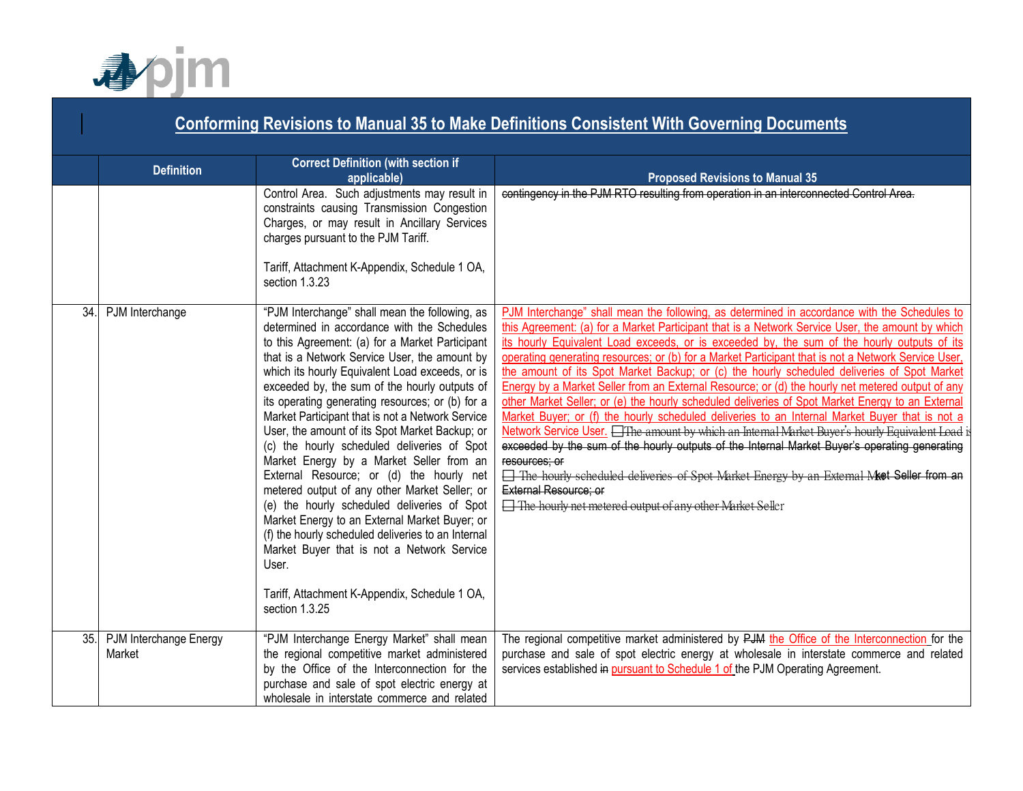

|     | <b>Conforming Revisions to Manual 35 to Make Definitions Consistent With Governing Documents</b> |                                                                                                                                                                                                                                                                                                                                                                                                                                                                                                                                                                                                                                                                                                                                                                                                                                                                                                                                         |                                                                                                                                                                                                                                                                                                                                                                                                                                                                                                                                                                                                                                                                                                                                                                                                                                                                                                                                                                                                                                                                                                                                                                                                                           |  |  |
|-----|--------------------------------------------------------------------------------------------------|-----------------------------------------------------------------------------------------------------------------------------------------------------------------------------------------------------------------------------------------------------------------------------------------------------------------------------------------------------------------------------------------------------------------------------------------------------------------------------------------------------------------------------------------------------------------------------------------------------------------------------------------------------------------------------------------------------------------------------------------------------------------------------------------------------------------------------------------------------------------------------------------------------------------------------------------|---------------------------------------------------------------------------------------------------------------------------------------------------------------------------------------------------------------------------------------------------------------------------------------------------------------------------------------------------------------------------------------------------------------------------------------------------------------------------------------------------------------------------------------------------------------------------------------------------------------------------------------------------------------------------------------------------------------------------------------------------------------------------------------------------------------------------------------------------------------------------------------------------------------------------------------------------------------------------------------------------------------------------------------------------------------------------------------------------------------------------------------------------------------------------------------------------------------------------|--|--|
|     | <b>Definition</b>                                                                                | <b>Correct Definition (with section if</b><br>applicable)                                                                                                                                                                                                                                                                                                                                                                                                                                                                                                                                                                                                                                                                                                                                                                                                                                                                               | <b>Proposed Revisions to Manual 35</b>                                                                                                                                                                                                                                                                                                                                                                                                                                                                                                                                                                                                                                                                                                                                                                                                                                                                                                                                                                                                                                                                                                                                                                                    |  |  |
|     |                                                                                                  | Control Area. Such adjustments may result in<br>constraints causing Transmission Congestion<br>Charges, or may result in Ancillary Services<br>charges pursuant to the PJM Tariff.<br>Tariff, Attachment K-Appendix, Schedule 1 OA,<br>section 1.3.23                                                                                                                                                                                                                                                                                                                                                                                                                                                                                                                                                                                                                                                                                   | contingency in the PJM RTO resulting from operation in an interconnected Control Area.                                                                                                                                                                                                                                                                                                                                                                                                                                                                                                                                                                                                                                                                                                                                                                                                                                                                                                                                                                                                                                                                                                                                    |  |  |
| 34. | PJM Interchange                                                                                  | "PJM Interchange" shall mean the following, as<br>determined in accordance with the Schedules<br>to this Agreement: (a) for a Market Participant<br>that is a Network Service User, the amount by<br>which its hourly Equivalent Load exceeds, or is<br>exceeded by, the sum of the hourly outputs of<br>its operating generating resources; or (b) for a<br>Market Participant that is not a Network Service<br>User, the amount of its Spot Market Backup; or<br>(c) the hourly scheduled deliveries of Spot<br>Market Energy by a Market Seller from an<br>External Resource; or (d) the hourly net<br>metered output of any other Market Seller; or<br>(e) the hourly scheduled deliveries of Spot<br>Market Energy to an External Market Buyer; or<br>(f) the hourly scheduled deliveries to an Internal<br>Market Buyer that is not a Network Service<br>User.<br>Tariff, Attachment K-Appendix, Schedule 1 OA,<br>section 1.3.25 | PJM Interchange" shall mean the following, as determined in accordance with the Schedules to<br>this Agreement: (a) for a Market Participant that is a Network Service User, the amount by which<br>its hourly Equivalent Load exceeds, or is exceeded by, the sum of the hourly outputs of its<br>operating generating resources; or (b) for a Market Participant that is not a Network Service User,<br>the amount of its Spot Market Backup; or (c) the hourly scheduled deliveries of Spot Market<br>Energy by a Market Seller from an External Resource; or (d) the hourly net metered output of any<br>other Market Seller; or (e) the hourly scheduled deliveries of Spot Market Energy to an External<br>Market Buyer; or (f) the hourly scheduled deliveries to an Internal Market Buyer that is not a<br>Network Service User. <b>The amount by which an Internal Market Buyer's hourly Equivalent Load</b><br>exceeded by the sum of the hourly outputs of the Internal Market Buyer's operating generating<br>resources: or<br>□ The hourly scheduled deliveries of Spot Market Energy by an External Met Sollor from an<br>External Resource: or<br>The hourly net metered output of any other Market Seller |  |  |
| 35. | PJM Interchange Energy<br>Market                                                                 | "PJM Interchange Energy Market" shall mean<br>the regional competitive market administered<br>by the Office of the Interconnection for the<br>purchase and sale of spot electric energy at<br>wholesale in interstate commerce and related                                                                                                                                                                                                                                                                                                                                                                                                                                                                                                                                                                                                                                                                                              | The regional competitive market administered by PJM the Office of the Interconnection for the<br>purchase and sale of spot electric energy at wholesale in interstate commerce and related<br>services established in pursuant to Schedule 1 of the PJM Operating Agreement.                                                                                                                                                                                                                                                                                                                                                                                                                                                                                                                                                                                                                                                                                                                                                                                                                                                                                                                                              |  |  |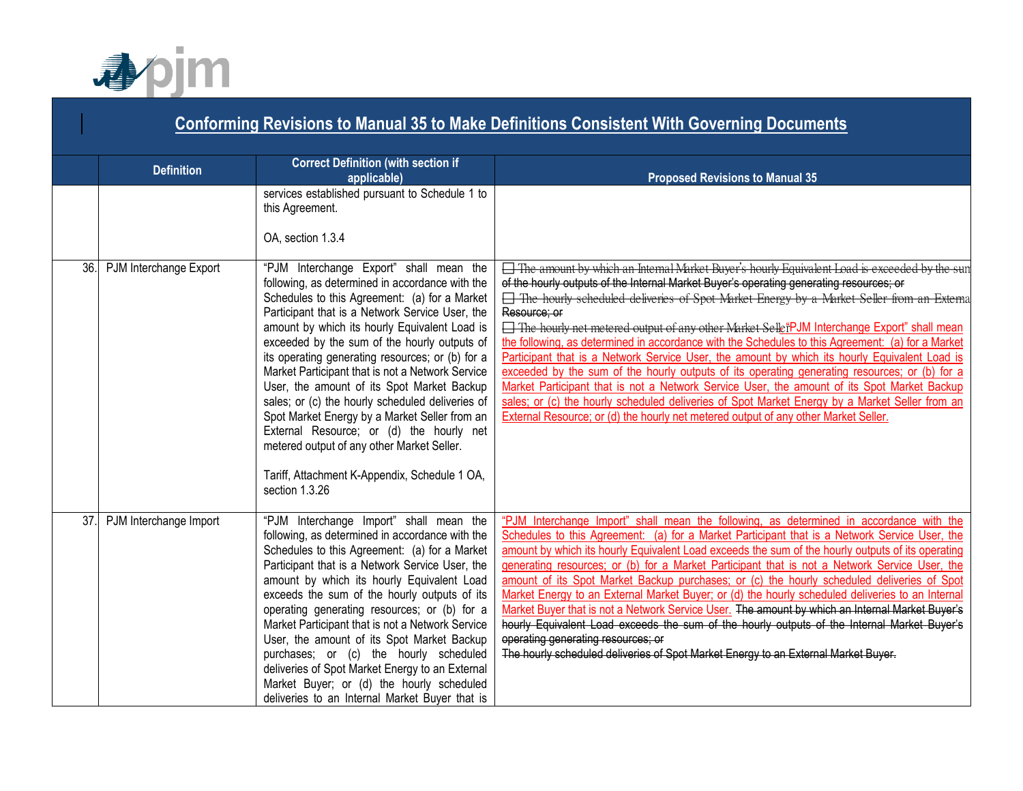

| <b>Conforming Revisions to Manual 35 to Make Definitions Consistent With Governing Documents</b> |                        |                                                                                                                                                                                                                                                                                                                                                                                                                                                                                                                                                                                                                                                                                                                         |                                                                                                                                                                                                                                                                                                                                                                                                                                                                                                                                                                                                                                                                                                                                                                                                                                                                                                                                                                                                                    |
|--------------------------------------------------------------------------------------------------|------------------------|-------------------------------------------------------------------------------------------------------------------------------------------------------------------------------------------------------------------------------------------------------------------------------------------------------------------------------------------------------------------------------------------------------------------------------------------------------------------------------------------------------------------------------------------------------------------------------------------------------------------------------------------------------------------------------------------------------------------------|--------------------------------------------------------------------------------------------------------------------------------------------------------------------------------------------------------------------------------------------------------------------------------------------------------------------------------------------------------------------------------------------------------------------------------------------------------------------------------------------------------------------------------------------------------------------------------------------------------------------------------------------------------------------------------------------------------------------------------------------------------------------------------------------------------------------------------------------------------------------------------------------------------------------------------------------------------------------------------------------------------------------|
|                                                                                                  | <b>Definition</b>      | <b>Correct Definition (with section if</b><br>applicable)                                                                                                                                                                                                                                                                                                                                                                                                                                                                                                                                                                                                                                                               | <b>Proposed Revisions to Manual 35</b>                                                                                                                                                                                                                                                                                                                                                                                                                                                                                                                                                                                                                                                                                                                                                                                                                                                                                                                                                                             |
|                                                                                                  |                        | services established pursuant to Schedule 1 to<br>this Agreement.<br>OA, section 1.3.4                                                                                                                                                                                                                                                                                                                                                                                                                                                                                                                                                                                                                                  |                                                                                                                                                                                                                                                                                                                                                                                                                                                                                                                                                                                                                                                                                                                                                                                                                                                                                                                                                                                                                    |
| 36                                                                                               | PJM Interchange Export | "PJM Interchange Export" shall mean the<br>following, as determined in accordance with the<br>Schedules to this Agreement: (a) for a Market<br>Participant that is a Network Service User, the<br>amount by which its hourly Equivalent Load is<br>exceeded by the sum of the hourly outputs of<br>its operating generating resources; or (b) for a<br>Market Participant that is not a Network Service<br>User, the amount of its Spot Market Backup<br>sales; or (c) the hourly scheduled deliveries of<br>Spot Market Energy by a Market Seller from an<br>External Resource; or (d) the hourly net<br>metered output of any other Market Seller.<br>Tariff, Attachment K-Appendix, Schedule 1 OA,<br>section 1.3.26 | The amount by which an Internal Market Buyer's hourly Equivalent Load is exceeded by the sun<br>of the hourly outputs of the Internal Market Buyer's operating generating resources; or<br>The hourly scheduled deliveries of Spot Market Energy by a Market Seller from an Externa<br>Resource; or<br><b>Example 1</b> The hourly net metered output of any other Market Seller PJM Interchange Export" shall mean<br>the following, as determined in accordance with the Schedules to this Agreement: (a) for a Market<br>Participant that is a Network Service User, the amount by which its hourly Equivalent Load is<br>exceeded by the sum of the hourly outputs of its operating generating resources; or (b) for a<br>Market Participant that is not a Network Service User, the amount of its Spot Market Backup<br>sales; or (c) the hourly scheduled deliveries of Spot Market Energy by a Market Seller from an<br>External Resource; or (d) the hourly net metered output of any other Market Seller. |
| 37.                                                                                              | PJM Interchange Import | "PJM Interchange Import" shall mean the<br>following, as determined in accordance with the<br>Schedules to this Agreement: (a) for a Market<br>Participant that is a Network Service User, the<br>amount by which its hourly Equivalent Load<br>exceeds the sum of the hourly outputs of its<br>operating generating resources; or (b) for a<br>Market Participant that is not a Network Service<br>User, the amount of its Spot Market Backup<br>purchases; or (c) the hourly scheduled<br>deliveries of Spot Market Energy to an External<br>Market Buyer; or (d) the hourly scheduled<br>deliveries to an Internal Market Buyer that is                                                                              | "PJM Interchange Import" shall mean the following, as determined in accordance with the<br>Schedules to this Agreement: (a) for a Market Participant that is a Network Service User, the<br>amount by which its hourly Equivalent Load exceeds the sum of the hourly outputs of its operating<br>generating resources; or (b) for a Market Participant that is not a Network Service User, the<br>amount of its Spot Market Backup purchases; or (c) the hourly scheduled deliveries of Spot<br>Market Energy to an External Market Buyer; or (d) the hourly scheduled deliveries to an Internal<br>Market Buyer that is not a Network Service User. The amount by which an Internal Market Buyer's<br>hourly Equivalent Load exceeds the sum of the hourly outputs of the Internal Market Buyer's<br>operating generating resources; or<br>The hourly scheduled deliveries of Spot Market Energy to an External Market Buyer.                                                                                     |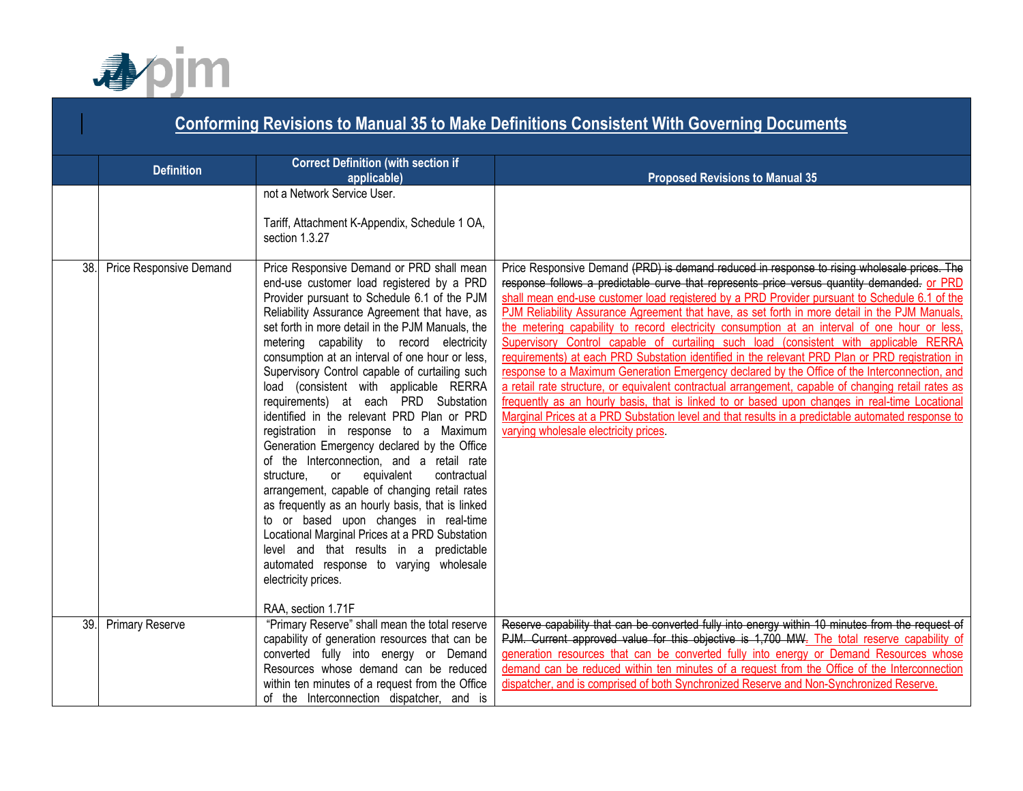

|    | <b>Conforming Revisions to Manual 35 to Make Definitions Consistent With Governing Documents</b> |                                                                                                                                                                                                                                                                                                                                                                                                                                                                                                                                                                                                                                                                                                                                                                                                                                                                                                                                                                                                           |                                                                                                                                                                                                                                                                                                                                                                                                                                                                                                                                                                                                                                                                                                                                                                                                                                                                                                                                                                                                                                                     |  |
|----|--------------------------------------------------------------------------------------------------|-----------------------------------------------------------------------------------------------------------------------------------------------------------------------------------------------------------------------------------------------------------------------------------------------------------------------------------------------------------------------------------------------------------------------------------------------------------------------------------------------------------------------------------------------------------------------------------------------------------------------------------------------------------------------------------------------------------------------------------------------------------------------------------------------------------------------------------------------------------------------------------------------------------------------------------------------------------------------------------------------------------|-----------------------------------------------------------------------------------------------------------------------------------------------------------------------------------------------------------------------------------------------------------------------------------------------------------------------------------------------------------------------------------------------------------------------------------------------------------------------------------------------------------------------------------------------------------------------------------------------------------------------------------------------------------------------------------------------------------------------------------------------------------------------------------------------------------------------------------------------------------------------------------------------------------------------------------------------------------------------------------------------------------------------------------------------------|--|
|    | <b>Definition</b>                                                                                | <b>Correct Definition (with section if</b><br>applicable)                                                                                                                                                                                                                                                                                                                                                                                                                                                                                                                                                                                                                                                                                                                                                                                                                                                                                                                                                 | <b>Proposed Revisions to Manual 35</b>                                                                                                                                                                                                                                                                                                                                                                                                                                                                                                                                                                                                                                                                                                                                                                                                                                                                                                                                                                                                              |  |
| 38 | Price Responsive Demand                                                                          | not a Network Service User.<br>Tariff, Attachment K-Appendix, Schedule 1 OA,<br>section 1.3.27<br>Price Responsive Demand or PRD shall mean                                                                                                                                                                                                                                                                                                                                                                                                                                                                                                                                                                                                                                                                                                                                                                                                                                                               | Price Responsive Demand (PRD) is demand reduced in response to rising wholesale prices. The                                                                                                                                                                                                                                                                                                                                                                                                                                                                                                                                                                                                                                                                                                                                                                                                                                                                                                                                                         |  |
|    |                                                                                                  | end-use customer load registered by a PRD<br>Provider pursuant to Schedule 6.1 of the PJM<br>Reliability Assurance Agreement that have, as<br>set forth in more detail in the PJM Manuals, the<br>metering capability to record electricity<br>consumption at an interval of one hour or less,<br>Supervisory Control capable of curtailing such<br>load (consistent with applicable RERRA<br>requirements) at each PRD Substation<br>identified in the relevant PRD Plan or PRD<br>registration in response to a Maximum<br>Generation Emergency declared by the Office<br>of the Interconnection, and a retail rate<br>contractual<br>structure,<br>equivalent<br>or<br>arrangement, capable of changing retail rates<br>as frequently as an hourly basis, that is linked<br>to or based upon changes in real-time<br>Locational Marginal Prices at a PRD Substation<br>level and that results in a predictable<br>automated response to varying wholesale<br>electricity prices.<br>RAA, section 1.71F | response follows a predictable curve that represents price versus quantity demanded. or PRD<br>shall mean end-use customer load registered by a PRD Provider pursuant to Schedule 6.1 of the<br>PJM Reliability Assurance Agreement that have, as set forth in more detail in the PJM Manuals,<br>the metering capability to record electricity consumption at an interval of one hour or less,<br>Supervisory Control capable of curtailing such load (consistent with applicable RERRA<br>requirements) at each PRD Substation identified in the relevant PRD Plan or PRD registration in<br>response to a Maximum Generation Emergency declared by the Office of the Interconnection, and<br>a retail rate structure, or equivalent contractual arrangement, capable of changing retail rates as<br>frequently as an hourly basis, that is linked to or based upon changes in real-time Locational<br>Marginal Prices at a PRD Substation level and that results in a predictable automated response to<br>varying wholesale electricity prices. |  |
|    | 39. Primary Reserve                                                                              | "Primary Reserve" shall mean the total reserve<br>capability of generation resources that can be<br>converted fully into energy or Demand<br>Resources whose demand can be reduced<br>within ten minutes of a request from the Office<br>of the Interconnection dispatcher, and is                                                                                                                                                                                                                                                                                                                                                                                                                                                                                                                                                                                                                                                                                                                        | Reserve capability that can be converted fully into energy within 10 minutes from the request of<br>PJM. Current approved value for this objective is 1,700 MW. The total reserve capability of<br>generation resources that can be converted fully into energy or Demand Resources whose<br>demand can be reduced within ten minutes of a request from the Office of the Interconnection<br>dispatcher, and is comprised of both Synchronized Reserve and Non-Synchronized Reserve.                                                                                                                                                                                                                                                                                                                                                                                                                                                                                                                                                                |  |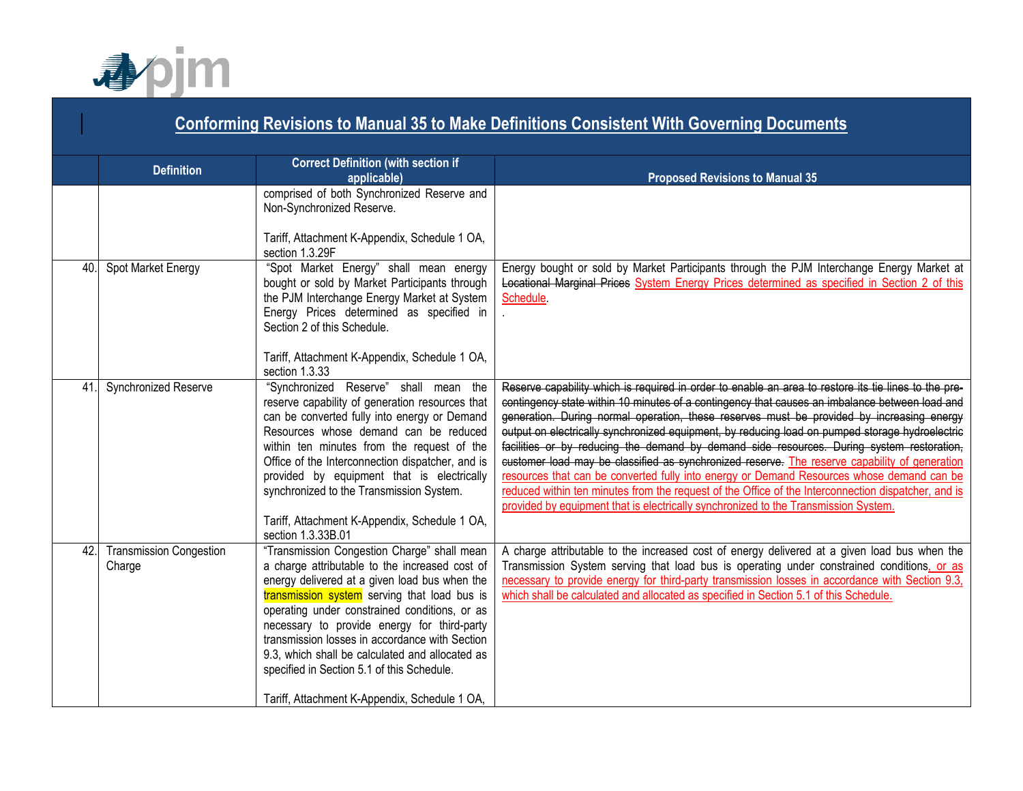

|     | <b>Conforming Revisions to Manual 35 to Make Definitions Consistent With Governing Documents</b> |                                                                                                                                                                                                                                                                                                                                                                                                                                                                                                    |                                                                                                                                                                                                                                                                                                                                                                                                                                                                                                                                                                                                                                                                                                                                                                                                                                                                                                 |  |
|-----|--------------------------------------------------------------------------------------------------|----------------------------------------------------------------------------------------------------------------------------------------------------------------------------------------------------------------------------------------------------------------------------------------------------------------------------------------------------------------------------------------------------------------------------------------------------------------------------------------------------|-------------------------------------------------------------------------------------------------------------------------------------------------------------------------------------------------------------------------------------------------------------------------------------------------------------------------------------------------------------------------------------------------------------------------------------------------------------------------------------------------------------------------------------------------------------------------------------------------------------------------------------------------------------------------------------------------------------------------------------------------------------------------------------------------------------------------------------------------------------------------------------------------|--|
|     | <b>Definition</b>                                                                                | <b>Correct Definition (with section if</b><br>applicable)                                                                                                                                                                                                                                                                                                                                                                                                                                          | <b>Proposed Revisions to Manual 35</b>                                                                                                                                                                                                                                                                                                                                                                                                                                                                                                                                                                                                                                                                                                                                                                                                                                                          |  |
|     |                                                                                                  | comprised of both Synchronized Reserve and<br>Non-Synchronized Reserve.<br>Tariff, Attachment K-Appendix, Schedule 1 OA,<br>section 1.3.29F                                                                                                                                                                                                                                                                                                                                                        |                                                                                                                                                                                                                                                                                                                                                                                                                                                                                                                                                                                                                                                                                                                                                                                                                                                                                                 |  |
| 40  | Spot Market Energy                                                                               | "Spot Market Energy" shall mean energy<br>bought or sold by Market Participants through<br>the PJM Interchange Energy Market at System<br>Energy Prices determined as specified in<br>Section 2 of this Schedule.<br>Tariff, Attachment K-Appendix, Schedule 1 OA,<br>section 1.3.33                                                                                                                                                                                                               | Energy bought or sold by Market Participants through the PJM Interchange Energy Market at<br>Locational Marginal Prices System Energy Prices determined as specified in Section 2 of this<br>Schedule.                                                                                                                                                                                                                                                                                                                                                                                                                                                                                                                                                                                                                                                                                          |  |
| 41  | Synchronized Reserve                                                                             | "Synchronized Reserve" shall mean the<br>reserve capability of generation resources that<br>can be converted fully into energy or Demand<br>Resources whose demand can be reduced<br>within ten minutes from the request of the<br>Office of the Interconnection dispatcher, and is<br>provided by equipment that is electrically<br>synchronized to the Transmission System.<br>Tariff, Attachment K-Appendix, Schedule 1 OA,<br>section 1.3.33B.01                                               | Reserve capability which is required in order to enable an area to restore its tie lines to the pre-<br>contingency state within 10 minutes of a contingency that causes an imbalance between load and<br>generation. During normal operation, these reserves must be provided by increasing energy<br>output on electrically synchronized equipment, by reducing load on pumped storage hydroelectric<br>facilities or by reducing the demand by demand side resources. During system restoration,<br>customer load may be classified as synchronized reserve. The reserve capability of generation<br>resources that can be converted fully into energy or Demand Resources whose demand can be<br>reduced within ten minutes from the request of the Office of the Interconnection dispatcher, and is<br>provided by equipment that is electrically synchronized to the Transmission System. |  |
| 42. | <b>Transmission Congestion</b><br>Charge                                                         | "Transmission Congestion Charge" shall mean<br>a charge attributable to the increased cost of<br>energy delivered at a given load bus when the<br>transmission system serving that load bus is<br>operating under constrained conditions, or as<br>necessary to provide energy for third-party<br>transmission losses in accordance with Section<br>9.3, which shall be calculated and allocated as<br>specified in Section 5.1 of this Schedule.<br>Tariff, Attachment K-Appendix, Schedule 1 OA, | A charge attributable to the increased cost of energy delivered at a given load bus when the<br>Transmission System serving that load bus is operating under constrained conditions, or as<br>necessary to provide energy for third-party transmission losses in accordance with Section 9.3,<br>which shall be calculated and allocated as specified in Section 5.1 of this Schedule.                                                                                                                                                                                                                                                                                                                                                                                                                                                                                                          |  |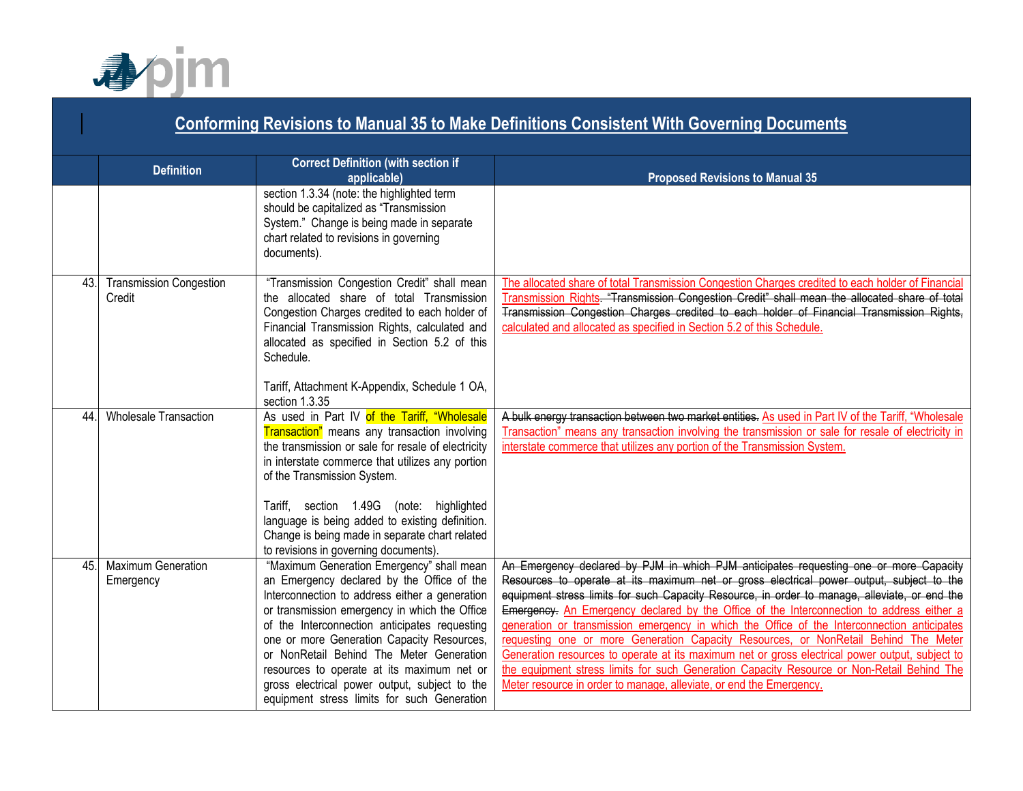

|     | <b>Conforming Revisions to Manual 35 to Make Definitions Consistent With Governing Documents</b> |                                                                                                                                                                                                                                                                                                                                                                                                                                                                                     |                                                                                                                                                                                                                                                                                                                                                                                                                                                                                                                                                                                                                                                                                                                                                                                                                                               |  |
|-----|--------------------------------------------------------------------------------------------------|-------------------------------------------------------------------------------------------------------------------------------------------------------------------------------------------------------------------------------------------------------------------------------------------------------------------------------------------------------------------------------------------------------------------------------------------------------------------------------------|-----------------------------------------------------------------------------------------------------------------------------------------------------------------------------------------------------------------------------------------------------------------------------------------------------------------------------------------------------------------------------------------------------------------------------------------------------------------------------------------------------------------------------------------------------------------------------------------------------------------------------------------------------------------------------------------------------------------------------------------------------------------------------------------------------------------------------------------------|--|
|     | <b>Definition</b>                                                                                | <b>Correct Definition (with section if</b><br>applicable)                                                                                                                                                                                                                                                                                                                                                                                                                           | <b>Proposed Revisions to Manual 35</b>                                                                                                                                                                                                                                                                                                                                                                                                                                                                                                                                                                                                                                                                                                                                                                                                        |  |
|     |                                                                                                  | section 1.3.34 (note: the highlighted term<br>should be capitalized as "Transmission<br>System." Change is being made in separate<br>chart related to revisions in governing<br>documents).                                                                                                                                                                                                                                                                                         |                                                                                                                                                                                                                                                                                                                                                                                                                                                                                                                                                                                                                                                                                                                                                                                                                                               |  |
| 43. | <b>Transmission Congestion</b><br>Credit                                                         | "Transmission Congestion Credit" shall mean<br>the allocated share of total Transmission<br>Congestion Charges credited to each holder of<br>Financial Transmission Rights, calculated and<br>allocated as specified in Section 5.2 of this<br>Schedule.                                                                                                                                                                                                                            | The allocated share of total Transmission Congestion Charges credited to each holder of Financia<br>Transmission Rights. "Transmission Congestion Credit" shall mean the allocated share of total<br>Transmission Congestion Charges credited to each holder of Financial Transmission Rights,<br>calculated and allocated as specified in Section 5.2 of this Schedule.                                                                                                                                                                                                                                                                                                                                                                                                                                                                      |  |
|     |                                                                                                  | Tariff, Attachment K-Appendix, Schedule 1 OA,<br>section 1.3.35                                                                                                                                                                                                                                                                                                                                                                                                                     |                                                                                                                                                                                                                                                                                                                                                                                                                                                                                                                                                                                                                                                                                                                                                                                                                                               |  |
| 44. | <b>Wholesale Transaction</b>                                                                     | As used in Part IV of the Tariff, "Wholesale<br>Transaction" means any transaction involving<br>the transmission or sale for resale of electricity<br>in interstate commerce that utilizes any portion<br>of the Transmission System.                                                                                                                                                                                                                                               | A bulk energy transaction between two market entities. As used in Part IV of the Tariff, "Wholesale<br>Transaction" means any transaction involving the transmission or sale for resale of electricity in<br>interstate commerce that utilizes any portion of the Transmission System.                                                                                                                                                                                                                                                                                                                                                                                                                                                                                                                                                        |  |
|     |                                                                                                  | Tariff, section 1.49G (note: highlighted<br>language is being added to existing definition.<br>Change is being made in separate chart related<br>to revisions in governing documents).                                                                                                                                                                                                                                                                                              |                                                                                                                                                                                                                                                                                                                                                                                                                                                                                                                                                                                                                                                                                                                                                                                                                                               |  |
| 45. | Maximum Generation<br>Emergency                                                                  | "Maximum Generation Emergency" shall mean<br>an Emergency declared by the Office of the<br>Interconnection to address either a generation<br>or transmission emergency in which the Office<br>of the Interconnection anticipates requesting<br>one or more Generation Capacity Resources,<br>or NonRetail Behind The Meter Generation<br>resources to operate at its maximum net or<br>gross electrical power output, subject to the<br>equipment stress limits for such Generation | An Emergency declared by PJM in which PJM anticipates requesting one or more Capacity<br>Resources to operate at its maximum net or gross electrical power output, subject to the<br>equipment stress limits for such Capacity Resource, in order to manage, alleviate, or end the<br>Emergency. An Emergency declared by the Office of the Interconnection to address either a<br>generation or transmission emergency in which the Office of the Interconnection anticipates<br>requesting one or more Generation Capacity Resources, or NonRetail Behind The Meter<br>Generation resources to operate at its maximum net or gross electrical power output, subject to<br>the equipment stress limits for such Generation Capacity Resource or Non-Retail Behind The<br>Meter resource in order to manage, alleviate, or end the Emergency. |  |